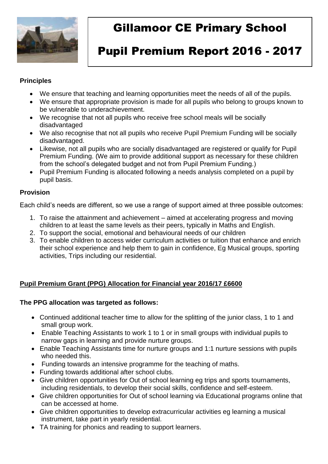

# Gillamoor CE Primary School

# Pupil Premium Report 2016 - 2017

#### **Principles**

- We ensure that teaching and learning opportunities meet the needs of all of the pupils.
- We ensure that appropriate provision is made for all pupils who belong to groups known to be vulnerable to underachievement.
- We recognise that not all pupils who receive free school meals will be socially disadvantaged
- We also recognise that not all pupils who receive Pupil Premium Funding will be socially disadvantaged.
- Likewise, not all pupils who are socially disadvantaged are registered or qualify for Pupil Premium Funding. (We aim to provide additional support as necessary for these children from the school's delegated budget and not from Pupil Premium Funding.)
- Pupil Premium Funding is allocated following a needs analysis completed on a pupil by pupil basis.

#### **Provision**

Each child's needs are different, so we use a range of support aimed at three possible outcomes:

- 1. To raise the attainment and achievement aimed at accelerating progress and moving children to at least the same levels as their peers, typically in Maths and English.
- 2. To support the social, emotional and behavioural needs of our children
- 3. To enable children to access wider curriculum activities or tuition that enhance and enrich their school experience and help them to gain in confidence, Eg Musical groups, sporting activities, Trips including our residential.

### **Pupil Premium Grant (PPG) Allocation for Financial year 2016/17 £6600**

#### **The PPG allocation was targeted as follows:**

- Continued additional teacher time to allow for the splitting of the junior class, 1 to 1 and small group work.
- Enable Teaching Assistants to work 1 to 1 or in small groups with individual pupils to narrow gaps in learning and provide nurture groups.
- Enable Teaching Assistants time for nurture groups and 1:1 nurture sessions with pupils who needed this.
- Funding towards an intensive programme for the teaching of maths.
- Funding towards additional after school clubs.
- Give children opportunities for Out of school learning eg trips and sports tournaments, including residentials, to develop their social skills, confidence and self-esteem.
- Give children opportunities for Out of school learning via Educational programs online that can be accessed at home.
- Give children opportunities to develop extracurricular activities eg learning a musical instrument, take part in yearly residential.
- TA training for phonics and reading to support learners.